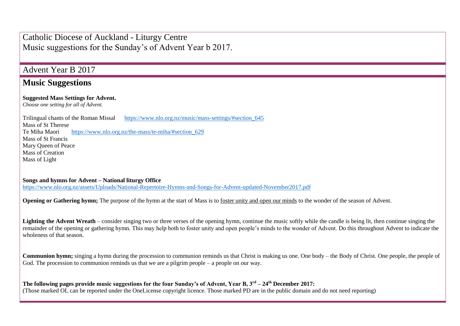Catholic Diocese of Auckland - Liturgy Centre Music suggestions for the Sunday's of Advent Year b 2017.

## Advent Year B 2017

## **Music Suggestions**

## **Suggested Mass Settings for Advent.**

*Choose one setting for all of Advent.* 

Trilingual chants of the Roman Missal https://www.nlo.org.nz/music/mass-settings/#section 645 Mass of St Therese Te Miha Maori [https://www.nlo.org.nz/the-mass/te-miha/#section\\_629](https://www.nlo.org.nz/the-mass/te-miha/#section_629) Mass of St Francis Mary Queen of Peace Mass of Creation Mass of Light

**Songs and hymns for Advent – National liturgy Office** <https://www.nlo.org.nz/assets/Uploads/National-Repertoire-Hymns-and-Songs-for-Advent-updated-November2017.pdf>

**Opening or Gathering hymn:** The purpose of the hymn at the start of Mass is to foster unity and open our minds to the wonder of the season of Advent.

Lighting the Advent Wreath – consider singing two or three verses of the opening hymn, continue the music softly while the candle is being lit, then continue singing the remainder of the opening or gathering hymn. This may help both to foster unity and open people's minds to the wonder of Advent. Do this throughout Advent to indicate the wholeness of that season.

**Communion hymn;** singing a hymn during the procession to communion reminds us that Christ is making us one. One body – the Body of Christ. One people, the people of God. The procession to communion reminds us that we are a pilgrim people – a people on our way.

**The following pages provide music suggestions for the four Sunday's of Advent, Year B, 3rd – 24th December 2017:** (Those marked OL can be reported under the OneLicense copyright licence. Those marked PD are in the public domain and do not need reporting)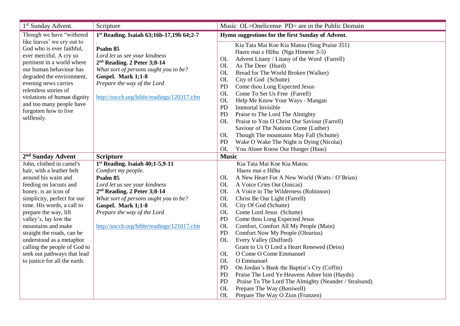| 1 <sup>st</sup> Sunday Advent.                                                                                                                                                                                                                                                                                                                                                                                                 | Scripture                                                                                                                                                                                                                                                                                 | Music OL=Onelicense PD= are in the Public Domain                                                                                                                                                                                                                                                                                                                                                                                                                                                                                                                                                                                                                                                                                                                                                                                                                                                        |  |  |
|--------------------------------------------------------------------------------------------------------------------------------------------------------------------------------------------------------------------------------------------------------------------------------------------------------------------------------------------------------------------------------------------------------------------------------|-------------------------------------------------------------------------------------------------------------------------------------------------------------------------------------------------------------------------------------------------------------------------------------------|---------------------------------------------------------------------------------------------------------------------------------------------------------------------------------------------------------------------------------------------------------------------------------------------------------------------------------------------------------------------------------------------------------------------------------------------------------------------------------------------------------------------------------------------------------------------------------------------------------------------------------------------------------------------------------------------------------------------------------------------------------------------------------------------------------------------------------------------------------------------------------------------------------|--|--|
| Though we have "withered                                                                                                                                                                                                                                                                                                                                                                                                       | 1st Reading. Isaiah 63;16b-17,19b 64;2-7                                                                                                                                                                                                                                                  | Hymn suggestions for the first Sunday of Advent.                                                                                                                                                                                                                                                                                                                                                                                                                                                                                                                                                                                                                                                                                                                                                                                                                                                        |  |  |
| like leaves' we cry out to<br>God who is ever faithful,<br>ever merciful. A cry so<br>pertinent in a world where<br>our human behaviour has<br>degraded the environment,<br>evening news carries<br>relentless stories of<br>violations of human dignity<br>and too many people have<br>forgotten how to live<br>selflessly.                                                                                                   | Psalm 85<br>Lord let us see your kindness<br>$2nd$ Reading. 2 Peter 3;8-14<br>What sort of persons ought you to be?<br>Gospel. Mark 1;1-8<br>Prepare the way of the Lord<br>http://usccb.org/bible/readings/120317.cfm                                                                    | Kia Tata Mai Koe Kia Matou (Sing Praise 351)<br>Haere mai e Hēhu (Nga Himene 3-5)<br>Advent Litany / Litany of the Word (Farrell)<br><b>OL</b><br>As The Deer (Hurd)<br><b>OL</b><br><b>OL</b><br>Bread for The World Broken (Walker)<br><b>OL</b><br>City of God (Schutte)<br>PD<br>Come thou Long Expected Jesus<br>Come To Set Us Free (Farrell)<br><b>OL</b><br><b>OL</b><br>Help Me Know Your Ways - Mangan<br>PD<br>Immortal Invisible<br>PD<br>Praise to The Lord The Almighty<br>Praise to You O Christ Our Saviour (Farrell)<br><b>OL</b><br>Saviour of The Nations Come (Luther)<br>Though The mountains May Fall (Schutte)<br>OL<br>PD<br>Wake O Wake The Night is Dying (Nicolai)                                                                                                                                                                                                           |  |  |
| 2 <sup>nd</sup> Sunday Advent                                                                                                                                                                                                                                                                                                                                                                                                  | <b>Scripture</b>                                                                                                                                                                                                                                                                          | <b>OL</b><br>You Alone Know Our Hunger (Haas)<br><b>Music</b>                                                                                                                                                                                                                                                                                                                                                                                                                                                                                                                                                                                                                                                                                                                                                                                                                                           |  |  |
| John, clothed in camel's<br>hair, with a leather belt<br>around his waist and<br>feeding on locusts and<br>honey, is an icon of<br>simplicity, perfect for our<br>time. His words, a call to<br>prepare the way, lift<br>valley's, lay low the<br>mountains and make<br>straight the roads, can be<br>understood as a metaphor<br>calling the people of God to<br>seek out pathways that lead<br>to justice for all the earth. | 1st Reading. Isaiah 40;1-5,9-11<br>Comfort my people.<br>Psalm 85<br>Lord let us see your kindness<br>2 <sup>nd</sup> Reading. 2 Peter 3;8-14<br>What sort of persons ought you to be?<br>Gospel. Mark 1;1-8<br>Prepare the way of the Lord<br>http://usccb.org/bible/readings/121017.cfm | Kia Tata Mai Koe Kia Matou<br>Haere mai e Hēhu<br>A New Heart For A New World (Watts / O'Brien)<br><b>OL</b><br><b>OL</b><br>A Voice Cries Out (Joncas)<br><b>OL</b><br>A Voice in The Wilderness (Robinson)<br><b>OL</b><br>Christ Be Our Light (Farrell)<br>City Of God (Schutte)<br><b>OL</b><br>Come Lord Jesus (Schutte)<br><b>OL</b><br>PD<br>Come thou Long Expected Jesus<br>Comfort, Comfort All My People (Main)<br><b>OL</b><br>PD<br>Comfort Now My People (Olearius)<br>Every Valley (Dufford)<br><b>OL</b><br>Grant to Us O Lord a Heart Renewed (Deiss)<br>O Come O Come Emmanuel<br>OL<br>O Emmanuel<br><b>OL</b><br>PD<br>On Jordan's Bank the Baptist's Cry (Coffin)<br>PD<br>Praise The Lord Ye Heavens Adore him (Haydn)<br>PD<br>Praise To The Lord The Almighty (Neander / Stralsund)<br><b>OL</b><br>Prepare The Way (Boniwell)<br><b>OL</b><br>Prepare The Way O Zion (Franzen) |  |  |